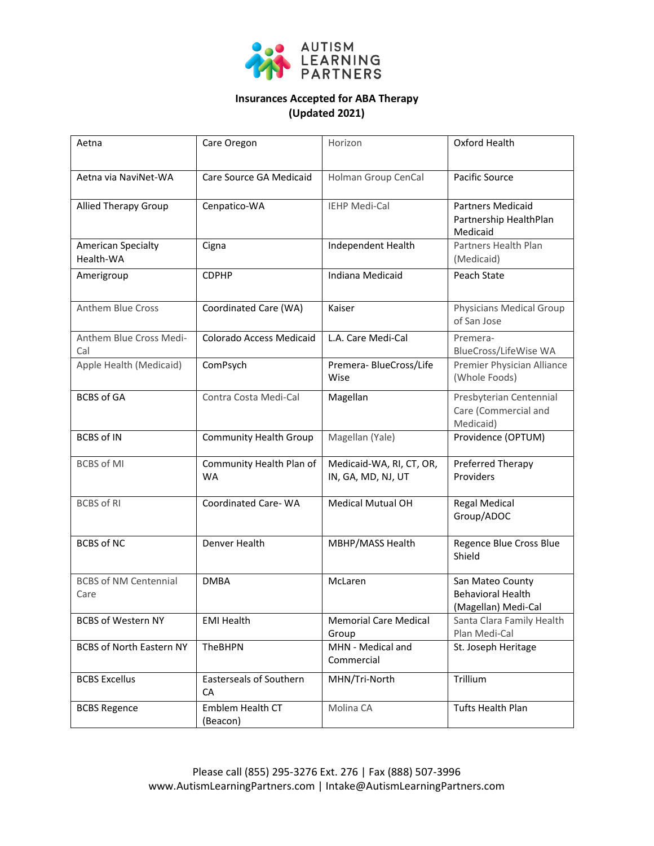

## **Insurances Accepted for ABA Therapy (Updated 2021)**

| Aetna                                | Care Oregon                          | Horizon                                        | Oxford Health                                                       |
|--------------------------------------|--------------------------------------|------------------------------------------------|---------------------------------------------------------------------|
| Aetna via NaviNet-WA                 | Care Source GA Medicaid              | Holman Group CenCal                            | Pacific Source                                                      |
| <b>Allied Therapy Group</b>          | Cenpatico-WA                         | IEHP Medi-Cal                                  | <b>Partners Medicaid</b><br>Partnership HealthPlan<br>Medicaid      |
| American Specialty<br>Health-WA      | Cigna                                | Independent Health                             | Partners Health Plan<br>(Medicaid)                                  |
| Amerigroup                           | <b>CDPHP</b>                         | Indiana Medicaid                               | Peach State                                                         |
| <b>Anthem Blue Cross</b>             | Coordinated Care (WA)                | Kaiser                                         | Physicians Medical Group<br>of San Jose                             |
| Anthem Blue Cross Medi-<br>Cal       | Colorado Access Medicaid             | L.A. Care Medi-Cal                             | Premera-<br>BlueCross/LifeWise WA                                   |
| Apple Health (Medicaid)              | ComPsych                             | Premera- BlueCross/Life<br>Wise                | Premier Physician Alliance<br>(Whole Foods)                         |
| <b>BCBS of GA</b>                    | Contra Costa Medi-Cal                | Magellan                                       | Presbyterian Centennial<br>Care (Commercial and<br>Medicaid)        |
| <b>BCBS of IN</b>                    | <b>Community Health Group</b>        | Magellan (Yale)                                | Providence (OPTUM)                                                  |
| <b>BCBS of MI</b>                    | Community Health Plan of<br>WA       | Medicaid-WA, RI, CT, OR,<br>IN, GA, MD, NJ, UT | Preferred Therapy<br>Providers                                      |
| <b>BCBS of RI</b>                    | Coordinated Care-WA                  | <b>Medical Mutual OH</b>                       | <b>Regal Medical</b><br>Group/ADOC                                  |
| <b>BCBS of NC</b>                    | Denver Health                        | MBHP/MASS Health                               | Regence Blue Cross Blue<br>Shield                                   |
| <b>BCBS of NM Centennial</b><br>Care | <b>DMBA</b>                          | McLaren                                        | San Mateo County<br><b>Behavioral Health</b><br>(Magellan) Medi-Cal |
| <b>BCBS of Western NY</b>            | <b>EMI Health</b>                    | <b>Memorial Care Medical</b><br>Group          | Santa Clara Family Health<br>Plan Medi-Cal                          |
| <b>BCBS of North Eastern NY</b>      | <b>TheBHPN</b>                       | MHN - Medical and<br>Commercial                | St. Joseph Heritage                                                 |
| <b>BCBS Excellus</b>                 | <b>Easterseals of Southern</b><br>CA | MHN/Tri-North                                  | Trillium                                                            |
| <b>BCBS Regence</b>                  | Emblem Health CT<br>(Beacon)         | Molina CA                                      | Tufts Health Plan                                                   |